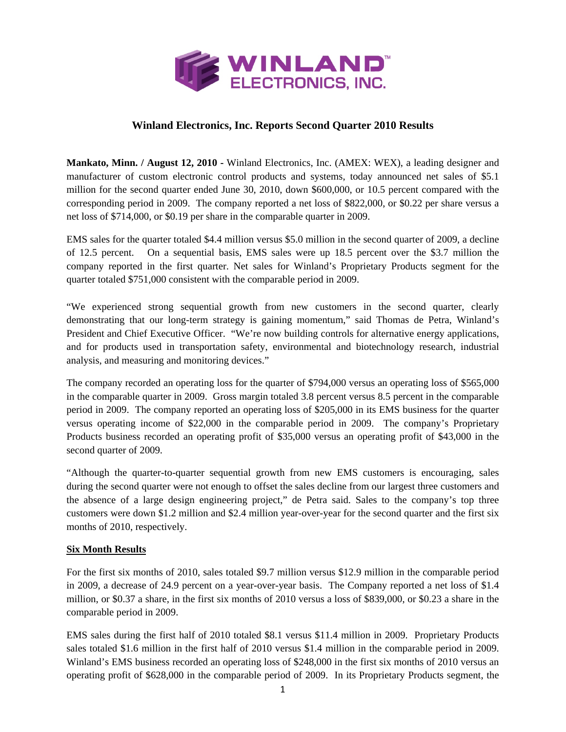

## **Winland Electronics, Inc. Reports Second Quarter 2010 Results**

**Mankato, Minn. / August 12, 2010 -** Winland Electronics, Inc. (AMEX: WEX), a leading designer and manufacturer of custom electronic control products and systems, today announced net sales of \$5.1 million for the second quarter ended June 30, 2010, down \$600,000, or 10.5 percent compared with the corresponding period in 2009. The company reported a net loss of \$822,000, or \$0.22 per share versus a net loss of \$714,000, or \$0.19 per share in the comparable quarter in 2009.

EMS sales for the quarter totaled \$4.4 million versus \$5.0 million in the second quarter of 2009, a decline of 12.5 percent. On a sequential basis, EMS sales were up 18.5 percent over the \$3.7 million the company reported in the first quarter. Net sales for Winland's Proprietary Products segment for the quarter totaled \$751,000 consistent with the comparable period in 2009.

"We experienced strong sequential growth from new customers in the second quarter, clearly demonstrating that our long-term strategy is gaining momentum," said Thomas de Petra, Winland's President and Chief Executive Officer. "We're now building controls for alternative energy applications, and for products used in transportation safety, environmental and biotechnology research, industrial analysis, and measuring and monitoring devices."

The company recorded an operating loss for the quarter of \$794,000 versus an operating loss of \$565,000 in the comparable quarter in 2009. Gross margin totaled 3.8 percent versus 8.5 percent in the comparable period in 2009. The company reported an operating loss of \$205,000 in its EMS business for the quarter versus operating income of \$22,000 in the comparable period in 2009. The company's Proprietary Products business recorded an operating profit of \$35,000 versus an operating profit of \$43,000 in the second quarter of 2009.

"Although the quarter-to-quarter sequential growth from new EMS customers is encouraging, sales during the second quarter were not enough to offset the sales decline from our largest three customers and the absence of a large design engineering project," de Petra said. Sales to the company's top three customers were down \$1.2 million and \$2.4 million year-over-year for the second quarter and the first six months of 2010, respectively.

## **Six Month Results**

For the first six months of 2010, sales totaled \$9.7 million versus \$12.9 million in the comparable period in 2009, a decrease of 24.9 percent on a year-over-year basis. The Company reported a net loss of \$1.4 million, or \$0.37 a share, in the first six months of 2010 versus a loss of \$839,000, or \$0.23 a share in the comparable period in 2009.

EMS sales during the first half of 2010 totaled \$8.1 versus \$11.4 million in 2009. Proprietary Products sales totaled \$1.6 million in the first half of 2010 versus \$1.4 million in the comparable period in 2009. Winland's EMS business recorded an operating loss of \$248,000 in the first six months of 2010 versus an operating profit of \$628,000 in the comparable period of 2009. In its Proprietary Products segment, the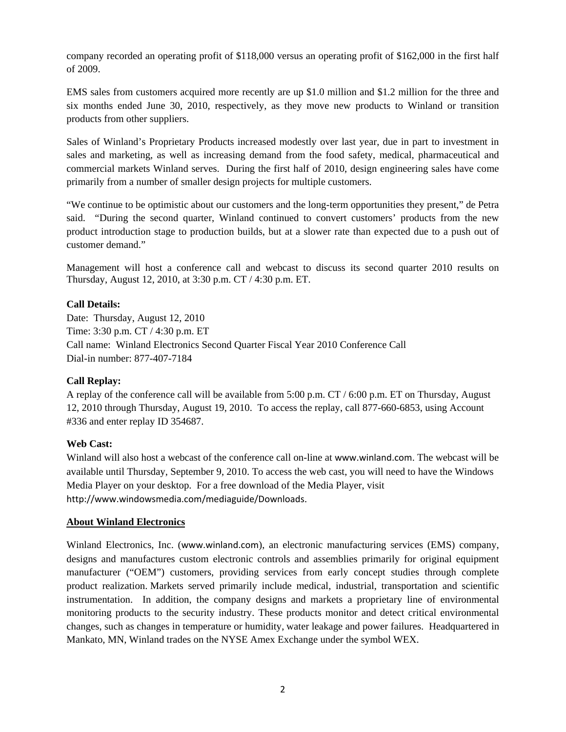company recorded an operating profit of \$118,000 versus an operating profit of \$162,000 in the first half of 2009.

EMS sales from customers acquired more recently are up \$1.0 million and \$1.2 million for the three and six months ended June 30, 2010, respectively, as they move new products to Winland or transition products from other suppliers.

Sales of Winland's Proprietary Products increased modestly over last year, due in part to investment in sales and marketing, as well as increasing demand from the food safety, medical, pharmaceutical and commercial markets Winland serves. During the first half of 2010, design engineering sales have come primarily from a number of smaller design projects for multiple customers.

"We continue to be optimistic about our customers and the long-term opportunities they present," de Petra said. "During the second quarter, Winland continued to convert customers' products from the new product introduction stage to production builds, but at a slower rate than expected due to a push out of customer demand."

Management will host a conference call and webcast to discuss its second quarter 2010 results on Thursday, August 12, 2010, at 3:30 p.m. CT / 4:30 p.m. ET.

## **Call Details:**

Date: Thursday, August 12, 2010 Time: 3:30 p.m. CT / 4:30 p.m. ET Call name: Winland Electronics Second Quarter Fiscal Year 2010 Conference Call Dial-in number: 877-407-7184

## **Call Replay:**

A replay of the conference call will be available from 5:00 p.m. CT / 6:00 p.m. ET on Thursday, August 12, 2010 through Thursday, August 19, 2010. To access the replay, call 877-660-6853, using Account #336 and enter replay ID 354687.

### **Web Cast:**

Winland will also host a webcast of the conference call on-line at www.winland.com. The webcast will be available until Thursday, September 9, 2010. To access the web cast, you will need to have the Windows Media Player on your desktop. For a free download of the Media Player, visit http://www.windowsmedia.com/mediaguide/Downloads.

### **About Winland Electronics**

Winland Electronics, Inc. (www.winland.com), an electronic manufacturing services (EMS) company, designs and manufactures custom electronic controls and assemblies primarily for original equipment manufacturer ("OEM") customers, providing services from early concept studies through complete product realization. Markets served primarily include medical, industrial, transportation and scientific instrumentation. In addition, the company designs and markets a proprietary line of environmental monitoring products to the security industry. These products monitor and detect critical environmental changes, such as changes in temperature or humidity, water leakage and power failures. Headquartered in Mankato, MN, Winland trades on the NYSE Amex Exchange under the symbol WEX.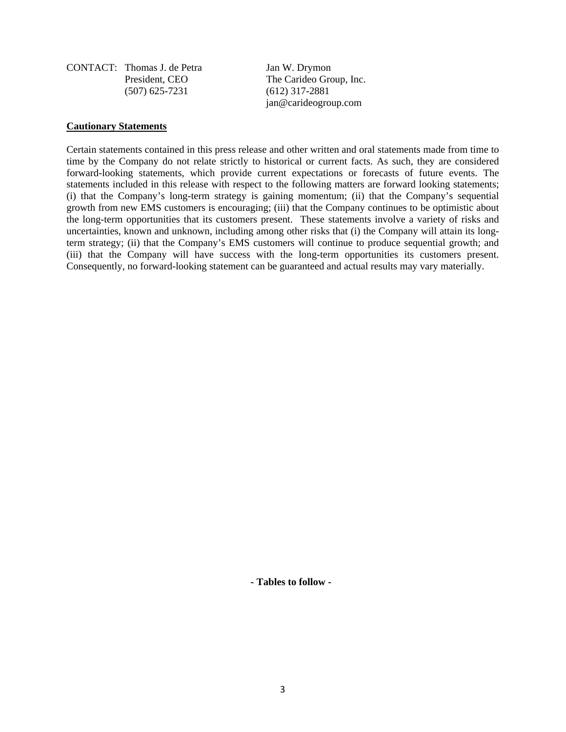CONTACT: Thomas J. de Petra Jan W. Drymon (507) 625-7231 (612) 317-2881

President, CEO The Carideo Group, Inc. jan@carideogroup.com

#### **Cautionary Statements**

Certain statements contained in this press release and other written and oral statements made from time to time by the Company do not relate strictly to historical or current facts. As such, they are considered forward-looking statements, which provide current expectations or forecasts of future events. The statements included in this release with respect to the following matters are forward looking statements; (i) that the Company's long-term strategy is gaining momentum; (ii) that the Company's sequential growth from new EMS customers is encouraging; (iii) that the Company continues to be optimistic about the long-term opportunities that its customers present. These statements involve a variety of risks and uncertainties, known and unknown, including among other risks that (i) the Company will attain its longterm strategy; (ii) that the Company's EMS customers will continue to produce sequential growth; and (iii) that the Company will have success with the long-term opportunities its customers present. Consequently, no forward-looking statement can be guaranteed and actual results may vary materially.

**- Tables to follow -**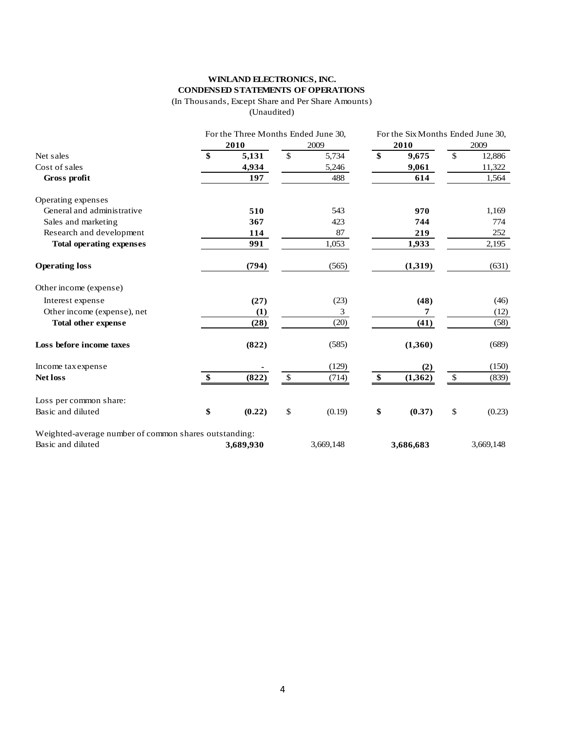# **WINLAND ELECTRONICS, INC. CONDENSED STATEMENTS OF OPERATIONS**

(In Thousands, Except Share and Per Share Amounts)

(Unaudited)

|                                                       |               | For the Three Months Ended June 30, |              |           |    | For the Six Months Ended June 30, |              |           |  |
|-------------------------------------------------------|---------------|-------------------------------------|--------------|-----------|----|-----------------------------------|--------------|-----------|--|
|                                                       |               | 2010                                |              | 2009      |    | 2010                              |              | 2009      |  |
| Net sales                                             | $\mathbf{\$}$ | 5,131                               | \$           | 5,734     | \$ | 9,675                             | \$           | 12,886    |  |
| Cost of sales                                         |               | 4,934                               |              | 5,246     |    | 9,061                             |              | 11,322    |  |
| Gross profit                                          |               | 197                                 |              | 488       |    | 614                               |              | 1,564     |  |
| Operating expenses                                    |               |                                     |              |           |    |                                   |              |           |  |
| General and administrative                            |               | 510                                 |              | 543       |    | 970                               |              | 1,169     |  |
| Sales and marketing                                   |               | 367                                 |              | 423       |    | 744                               |              | 774       |  |
| Research and development                              |               | 114                                 |              | 87        |    | 219                               |              | 252       |  |
| <b>Total operating expenses</b>                       |               | 991                                 |              | 1,053     |    | 1,933                             |              | 2,195     |  |
| <b>Operating loss</b>                                 |               | (794)                               |              | (565)     |    | (1,319)                           |              | (631)     |  |
| Other income (expense)                                |               |                                     |              |           |    |                                   |              |           |  |
| Interest expense                                      |               | (27)                                |              | (23)      |    | (48)                              |              | (46)      |  |
| Other income (expense), net                           |               | (1)                                 |              | 3         |    | 7                                 |              | (12)      |  |
| <b>Total other expense</b>                            |               | (28)                                |              | (20)      |    | (41)                              |              | (58)      |  |
| Loss before income taxes                              |               | (822)                               |              | (585)     |    | (1,360)                           |              | (689)     |  |
| Income tax expense                                    |               |                                     |              | (129)     |    | (2)                               |              | (150)     |  |
| <b>Net loss</b>                                       | \$            | (822)                               | $\mathbb{S}$ | (714)     | \$ | (1, 362)                          | $\mathbb{S}$ | (839)     |  |
| Loss per common share:                                |               |                                     |              |           |    |                                   |              |           |  |
| Basic and diluted                                     | \$            | (0.22)                              | \$           | (0.19)    | \$ | (0.37)                            | \$           | (0.23)    |  |
| Weighted-average number of common shares outstanding: |               |                                     |              |           |    |                                   |              |           |  |
| Basic and diluted                                     |               | 3,689,930                           |              | 3,669,148 |    | 3,686,683                         |              | 3,669,148 |  |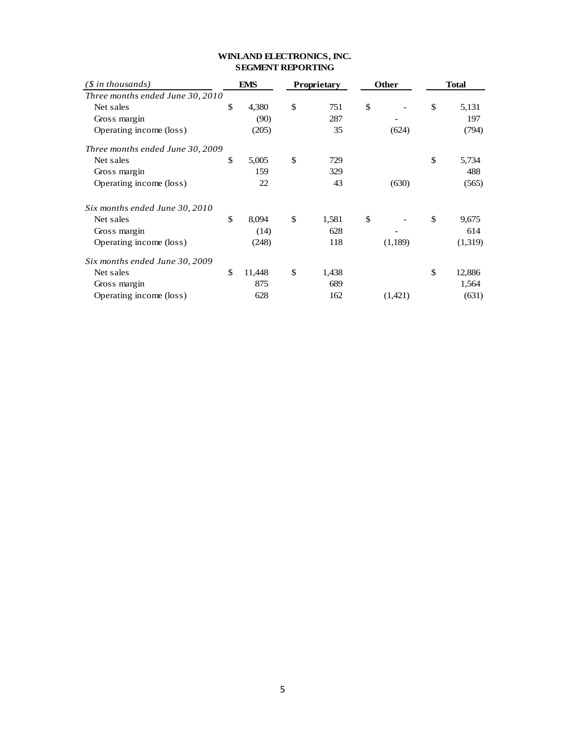| $(\text{\$ in thousands})$       |    | EMS    | Proprietary |       | <b>Other</b>  |         | <b>Total</b> |         |
|----------------------------------|----|--------|-------------|-------|---------------|---------|--------------|---------|
| Three months ended June 30, 2010 |    |        |             |       |               |         |              |         |
| Net sales                        | \$ | 4,380  | \$          | 751   | $\mathcal{S}$ |         | \$           | 5,131   |
| Gross margin                     |    | (90)   |             | 287   |               |         |              | 197     |
| Operating income (loss)          |    | (205)  |             | 35    |               | (624)   |              | (794)   |
| Three months ended June 30, 2009 |    |        |             |       |               |         |              |         |
| Net sales                        | \$ | 5,005  | \$          | 729   |               |         | \$           | 5,734   |
| Gross margin                     |    | 159    |             | 329   |               |         |              | 488     |
| Operating income (loss)          |    | 22     |             | 43    |               | (630)   |              | (565)   |
| Six months ended June 30, 2010   |    |        |             |       |               |         |              |         |
| Net sales                        | \$ | 8,094  | \$          | 1,581 | $\mathbb{S}$  |         | \$           | 9,675   |
| Gross margin                     |    | (14)   |             | 628   |               |         |              | 614     |
| Operating income (loss)          |    | (248)  |             | 118   |               | (1,189) |              | (1,319) |
| Six months ended June 30, 2009   |    |        |             |       |               |         |              |         |
| Net sales                        | \$ | 11,448 | \$          | 1,438 |               |         | \$           | 12,886  |
| Gross margin                     |    | 875    |             | 689   |               |         |              | 1,564   |
| Operating income (loss)          |    | 628    |             | 162   |               | (1,421) |              | (631)   |

## **WINLAND ELECTRONICS, INC. SEGMENT REPORTING**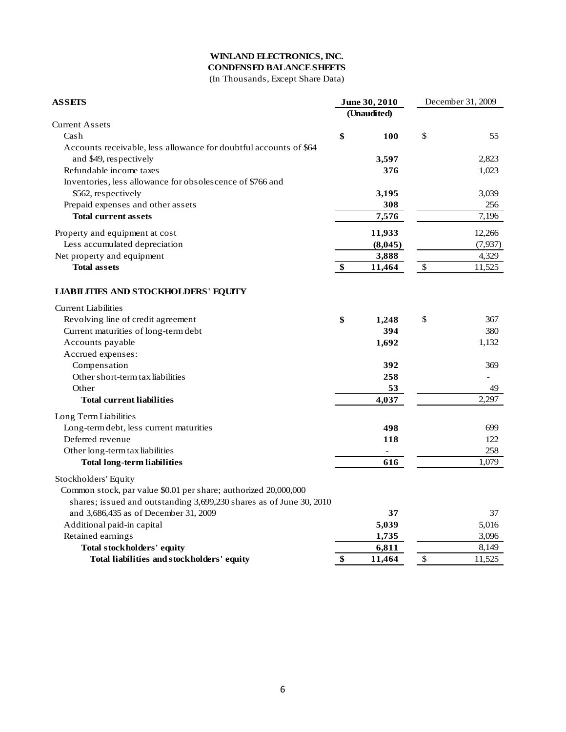# **WINLAND ELECTRONICS, INC.**

**CONDENSED BALANCE SHEETS**

(In Thousands, Except Share Data)

| <b>ASSETS</b>                                                       |    | June 30, 2010  | December 31, 2009 |          |
|---------------------------------------------------------------------|----|----------------|-------------------|----------|
|                                                                     |    | (Unaudited)    |                   |          |
| <b>Current Assets</b>                                               |    |                |                   |          |
| Cash                                                                | \$ | 100            | \$                | 55       |
| Accounts receivable, less allowance for doubtful accounts of \$64   |    |                |                   |          |
| and \$49, respectively                                              |    | 3,597          |                   | 2,823    |
| Refundable income taxes                                             |    | 376            |                   | 1,023    |
| Inventories, less allowance for obsolescence of \$766 and           |    |                |                   |          |
| \$562, respectively                                                 |    | 3,195          |                   | 3,039    |
| Prepaid expenses and other assets                                   |    | 308            |                   | 256      |
| <b>Total current assets</b>                                         |    | 7,576          |                   | 7,196    |
| Property and equipment at cost                                      |    | 11,933         |                   | 12,266   |
| Less accumulated depreciation                                       |    | (8,045)        |                   | (7, 937) |
| Net property and equipment                                          |    | 3,888          |                   | 4,329    |
| <b>Total assets</b>                                                 | \$ | 11,464         | $\$$              | 11,525   |
| <b>LIABILITIES AND STOCKHOLDERS' EQUITY</b>                         |    |                |                   |          |
| <b>Current Liabilities</b>                                          |    |                |                   |          |
| Revolving line of credit agreement                                  | \$ | 1,248          | \$                | 367      |
| Current maturities of long-term debt                                |    | 394            |                   | 380      |
| Accounts payable                                                    |    | 1,692          |                   | 1,132    |
| Accrued expenses:                                                   |    |                |                   |          |
| Compensation                                                        |    | 392            |                   | 369      |
| Other short-term tax liabilities                                    |    | 258            |                   |          |
| Other                                                               |    | 53             |                   | 49       |
| <b>Total current liabilities</b>                                    |    | 4,037          |                   | 2,297    |
| Long Term Liabilities                                               |    |                |                   |          |
| Long-term debt, less current maturities                             |    | 498            |                   | 699      |
| Deferred revenue                                                    |    | 118            |                   | 122      |
| Other long-term tax liabilities                                     |    | $\blacksquare$ |                   | 258      |
| <b>Total long-term liabilities</b>                                  |    | 616            |                   | 1,079    |
| Stockholders' Equity                                                |    |                |                   |          |
| Common stock, par value \$0.01 per share; authorized 20,000,000     |    |                |                   |          |
| shares; issued and outstanding 3,699,230 shares as of June 30, 2010 |    |                |                   |          |
| and 3,686,435 as of December 31, 2009                               |    | 37             |                   | 37       |
| Additional paid-in capital                                          |    | 5,039          |                   | 5,016    |
| Retained earnings                                                   |    | 1,735          |                   | 3,096    |
| Total stockholders' equity                                          |    | 6,811          |                   | 8,149    |
| Total liabilities and stockholders' equity                          | \$ | 11,464         | $\mathcal{S}$     | 11,525   |